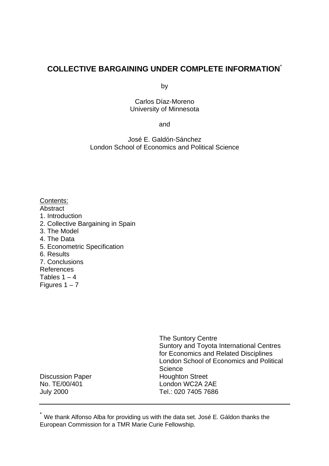# **COLLECTIVE BARGAINING UNDER COMPLETE INFORMATION**\*

by

Carlos Díaz-Moreno University of Minnesota

and

José E. Galdón-Sánchez London School of Economics and Political Science

Contents: Abstract 1. Introduction 2. Collective Bargaining in Spain 3. The Model 4. The Data 5. Econometric Specification 6. Results 7. Conclusions References Tables  $1 - 4$ Figures  $1 - 7$ 

The Suntory Centre Suntory and Toyota International Centres for Economics and Related Disciplines London School of Economics and Political **Science** Discussion Paper **Houghton Street** No. TE/00/401 London WC2A 2AE July 2000 Tel.: 020 7405 7686

 $\hat{ }$  We thank Alfonso Alba for providing us with the data set. José E. Gáldon thanks the European Commission for a TMR Marie Curie Fellowship.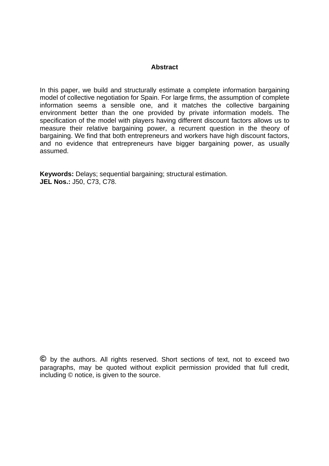# **Abstract**

In this paper, we build and structurally estimate a complete information bargaining model of collective negotiation for Spain. For large firms, the assumption of complete information seems a sensible one, and it matches the collective bargaining environment better than the one provided by private information models. The specification of the model with players having different discount factors allows us to measure their relative bargaining power, a recurrent question in the theory of bargaining. We find that both entrepreneurs and workers have high discount factors, and no evidence that entrepreneurs have bigger bargaining power, as usually assumed.

**Keywords:** Delays; sequential bargaining; structural estimation. **JEL Nos.:** J50, C73, C78.

**©** by the authors. All rights reserved. Short sections of text, not to exceed two paragraphs, may be quoted without explicit permission provided that full credit, including © notice, is given to the source.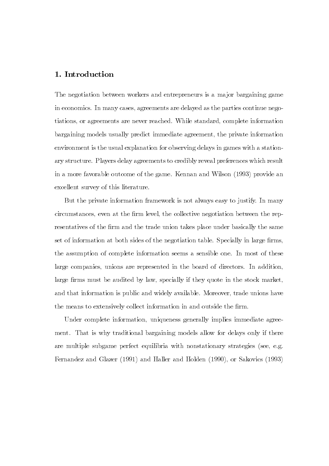#### 1. Introduction

The negotiation between workers and entrepreneurs is a major bargaining game in economics. In many cases, agreements are delayed as the parties continue negotiations, or agreements are never reached. While standard, complete information bargaining models usually predict immediate agreement, the private information environment is the usual explanation for observing delays in games with a stationary structure. Players delay agreements to credibly reveal preferences which result in a more favorable outcome of the game. Kennan and Wilson (1993) provide an excellent survey of this literature.

But the private information framework is not always easy to justify. In many circumstances, even at the firm level, the collective negotiation between the representatives of the firm and the trade union takes place under basically the same vert of information at both sides of the negotiation table. Specially in large firms. the assumption of complete information seems a sensible one. In most of these large companies, unions are represented in the board of directors. In addition. large firms must be audited by law, specially if they quote in the stock market, and that information is public and widely available. Moreover, trade unions have the means to extensively collect information in and outside the firm.

Under complete information, uniqueness generally implies immediate agreement. That is why traditional bargaining models allow for delays only if there are multiple subgame perfect equilibria with nonstationary strategies (see, e.g. Fernandez and Glazer (1991) and Haller and Holden (1990), or Sakovics (1993)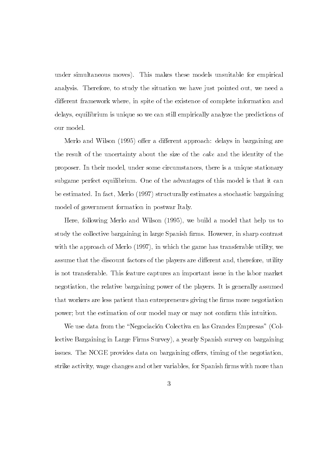under simultaneous moves). This makes these models unsuitable for empirical analysis. Therefore, to study the situation we have just pointed out, we need a different framework where, in spite of the existence of complete information and delays, equilibrium is unique so we can still empirically analyze the predictions of our model.

Merlo and Wilson (1995) offer a different approach: delays in bargaining are the result of the uncertainty about the size of the cake and the identity of the proposer. In their model, under some circumstances, there is a unique stationary subgame perfect equilibrium. One of the advantages of this model is that it can be estimated. In fact, Merlo (1997) structurally estimates a stochastic bargaining model of government formation in postwar Italy.

Here, following Merlo and Wilson (1995), we build a model that help us to study the collective bargaining in large Spanish firms. However, in sharp contrast with the approach of Merlo (1997), in which the game has transferable utility, we assume that the discount factors of the players are different and, therefore, utility is not transferable. This feature captures an important issue in the labor market negotiation, the relative bargaining power of the players. It is generally assumed that workers are less patient than entrepreneurs giving the firms more negotiation power; but the estimation of our model may or may not confirm this intuition.

We use data from the "Negociación Colectiva en las Grandes Empresas" (Collective Bargaining in Large Firms Survey), a yearly Spanish survey on bargaining issues. The NCGE provides data on bargaining offers, timing of the negotiation, strike activity, wage changes and other variables, for Spanish firms with more than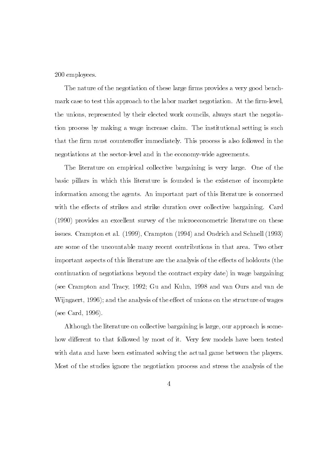#### 200 employees.

The nature of the negotiation of these large firms provides a very good benchmark case to test this approach to the labor market negotiation. At the firm-level. the unions, represented by their elected work councils, always start the negotiation process by making a wage increase claim. The institutional setting is such that the firm must counteroffer immediately. This process is also followed in the negotiations at the sector-level and in the economy-wide agreements.

The literature on empirical collective bargaining is very large. One of the basic pillars in which this literature is founded is the existence of incomplete information among the agents. An important part of this literature is concerned with the effects of strikes and strike duration over collective bargaining. Card (1990) provides an excellent survey of the microeconometric literature on these issues. Crampton et al. (1999), Crampton (1994) and Ondrich and Schnell (1993) are some of the uncountable many recent contributions in that area. Two other important aspects of this literature are the analysis of the effects of holdouts (the continuation of negotiations beyond the contract expiry date) in wage bargaining (see Crampton and Tracy, 1992; Gu and Kuhn, 1998 and van Ours and van de Wijngaert, 1996); and the analysis of the effect of unions on the structure of wages (see Card, 1996).

Although the literature on collective bargaining is large, our approach is somehow different to that followed by most of it. Very few models have been tested with data and have been estimated solving the actual game between the players. Most of the studies ignore the negotiation process and stress the analysis of the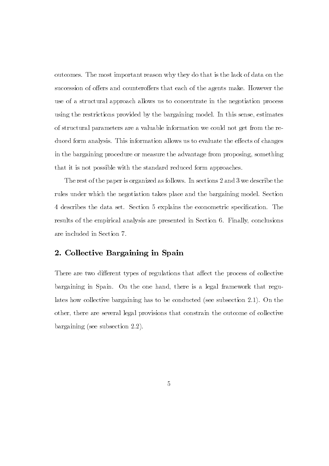outcomes. The most important reason why they do that is the lack of data on the succession of offers and counteroffers that each of the agents make. However the use of a structural approach allows us to concentrate in the negotiation process using the restrictions provided by the bargaining model. In this sense, estimates of structural parameters are a valuable information we could not get from the reduced form analysis. This information allows us to evaluate the effects of changes in the bargaining procedure or measure the advantage from proposing, something that it is not possible with the standard reduced form approaches.

The rest of the paper is organized as follows. In sections  $2$  and  $3$  we describe the rules under which the negotiation takes place and the bargaining model. Section 4 describes the data set. Section 5 explains the econometric specification. The results of the empirical analysis are presented in Section 6. Finally, conclusions are included in Section 7.

# 2. Collective Bargaining in Spain

There are two different types of regulations that affect the process of collective bargaining in Spain. On the one hand, there is a legal framework that regulates how collective bargaining has to be conducted (see subsection 2.1). On the other, there are several legal provisions that constrain the outcome of collective bargaining (see subsection  $2.2$ ).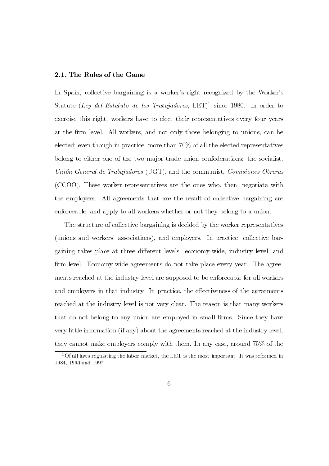#### 2.1. The Rules of the Game

In Spain, collective bargaining is a worker's right recognized by the Worker's Statute (Ley del Estatuto de los Trabajadores, LET)<sup>1</sup> since 1980. In order to exercise this right, workers have to elect their representatives every four years at the firm level. All workers, and not only those belonging to unions, can be elected; even though in practice, more than  $70\%$  of all the elected representatives belong to either one of the two major trade union confederations: the socialist, Unión General de Trabajadores (UGT), and the communist, Comisiones Obreras  $(CCOO)$ . These worker representatives are the ones who, then, negotiate with the employers. All agreements that are the result of collective bargaining are enforceable, and apply to all workers whether or not they belong to a union.

The structure of collective bargaining is decided by the worker representatives  $(u$ nions and workers' associations), and employers. In practice, collective bargaining takes place at three different levels: economy-wide, industry level, and firm-level. Economy-wide agreements do not take place every year. The agreements reached at the industry-level are supposed to be enforceable for all workers and employers in that industry. In practice, the effectiveness of the agreements reached at the industry level is not very clear. The reason is that many workers that do not belong to any union are employed in small firms. Since they have  $y$  very little information (if any) about the agreements reached at the industry level. they cannot make employers comply with them. In any case, around  $75\%$  of the

<sup>&</sup>lt;sup>1</sup>Of all laws regulating the labor market, the LET is the most important. It was reformed in 1984, 1994 and 1997.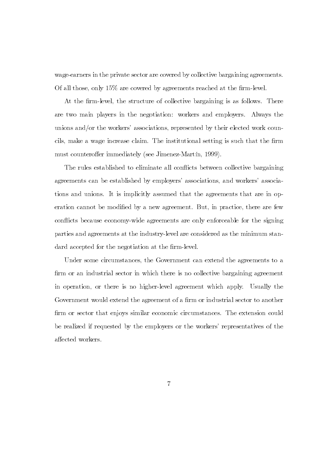wage-earners in the private sector are covered by collective bargaining agreements. Of all those, only  $15\%$  are covered by agreements reached at the firm-level.

At the firm-level, the structure of collective bargaining is as follows. There are two main players in the negotiation: workers and employers. Always the unions and/or the workers' associations, represented by their elected work councils, make a wage increase claim. The institutional setting is such that the firm must counteroffer immediately (see Jimenez-Martín, 1999).

The rules established to eliminate all conflicts between collective bargaining agreements can be established by employers' associations, and workers' associations and unions. It is implicitly assumed that the agreements that are in operation cannot be modified by a new agreement. But, in practice, there are few conflicts because economy-wide agreements are only enforceable for the signing parties and agreements at the industry-level are considered as the minimum standard accepted for the negotiation at the firm-level.

Under some circumstances, the Government can extend the agreements to a firm or an industrial sector in which there is no collective bargaining agreement in operation, or there is no higher-level agreement which apply. Usually the Government would extend the agreement of a firm or industrial sector to another firm or sector that enjoys similar economic circumstances. The extension could be realized if requested by the employers or the workers' representatives of the affected workers.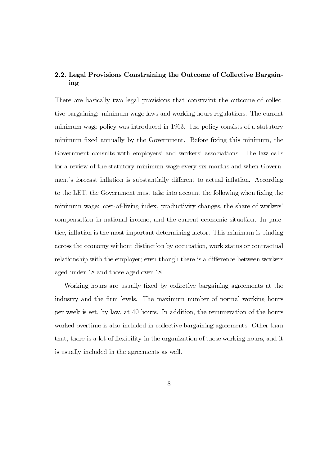### 2.2. Legal Provisions Constraining the Outcome of Collective Bargaining

There are basically two legal provisions that constraint the outcome of collective bargaining: minimum wage laws and working hours regulations. The current minimum wage policy was introduced in 1963. The policy consists of a statutory minimum fixed annually by the Government. Before fixing this minimum, the Government consults with employers' and workers' associations. The law calls for a review of the statutory minimum wage every six months and when Government's forecast inflation is substantially different to actual inflation. According to the LET, the Government must take into account the following when fixing the minimum wage: cost-of-living index, productivity changes, the share of workers compensation in national income, and the current economic situation. In practice, inflation is the most important determining factor. This minimum is binding across the economy without distinction by occupation, work status or contractual relationship with the employer; even though there is a difference between workers aged under  $18$  and those aged over  $18$ .

Working hours are usually fixed by collective bargaining agreements at the industry and the firm levels. The maximum number of normal working hours per week is set, by law, at 40 hours. In addition, the remuneration of the hours worked overtime is also included in collective bargaining agreements. Other than that, there is a lot of flexibility in the organization of these working hours, and it is usually included in the agreements as well.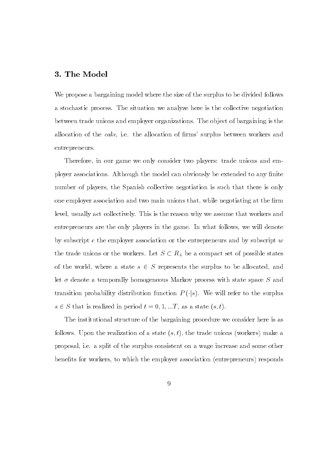### 3. The Model

We propose a bargaining model where the size of the surplus to be divided follows a stochastic process. The situation we analyze here is the collective negotiation between trade unions and employer organizations. The object of bargaining is the allocation of the *cake*, i.e. the allocation of firms' surplus between workers and entrepreneurs.

Therefore, in our game we only consider two players: trade unions and employer associations. Although the model can obviously be extended to any finite number of players, the Spanish collective negotiation is such that there is only one employer association and two main unions that, while negotiating at the firm level, usually act collectively. This is the reason why we assume that workers and entrepreneurs are the only players in the game. In what follows, we will denote by subscript e the employer association or the entrepreneurs and by subscript  $w$ the trade unions or the workers. Let  $S \subset R_+$  be a compact set of possible states of the world, where a state  $s \in S$  represents the surplus to be allocated, and let  $\sigma$  denote a temporally homogeneous Markov process with state space S and transition probability distribution function  $P(\cdot|s)$ . We will refer to the surplus  $s \in S$  that is realized in period  $t = 0, 1, ...T$ , as a state  $(s, t)$ .

The institutional structure of the bargaining procedure we consider here is as follows. Upon the realization of a state  $(s, t)$ , the trade unions (workers) make a proposal, i.e. a split of the surplus consistent on a wage increase and some other behefits for workers, to which the employer association (entrepreneurs) responds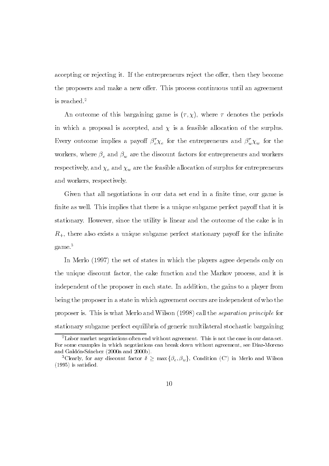accepting or rejecting it. If the entrepreneurs reject the offer, then they become the proposers and make a new offer. This process continuous until an agreement is reached. $2$ 

An outcome of this bargaining game is  $(\tau, \chi)$ , where  $\tau$  denotes the periods in which a proposal is accepted, and  $\chi$  is a feasible allocation of the surplus. Every outcome implies a payoff  $\beta_{e}^{\tau}\chi_{e}$  for the entrepreneurs and  $\beta_{w}^{\tau}\chi_{w}$  for the workers, where  $\beta_e$  and  $\beta_w$  are the discount factors for entrepreneurs and workers respectively, and  $\chi_e$  and  $\chi_w$  are the feasible allocation of surplus for entrepreneurs and workers, respectively.

Given that all negotiations in our data set end in a finite time, our game is finite as well. This implies that there is a unique subgame perfect payoff that it is stationary. However, since the utility is linear and the outcome of the cake is in  $R_{+}$ , there also exists a unique subgame perfect stationary payoff for the infinite  $\mathrm{game.}^3$ 

In Merlo  $(1997)$  the set of states in which the players agree depends only on the unique discount factor, the cake function and the Markov process, and it is independent of the proposer in each state. In addition, the gains to a player from being the proposer in a state in which agreement occurs are independent of who the proposer is. This is what Merlo and Wilson  $(1998)$  call the *separation principle* for stationary subgame perfect equilibria of generic multilateral stochastic bargaining

<sup>&</sup>lt;sup>2</sup>Labor market negotiations often end without agreement. This is not the case in our data set. For some examples in which negotiations can break down without agreement, see Díaz-Moreno and Galdón-Sánchez  $(2000a$  and  $2000b)$ .

<sup>&</sup>lt;sup>3</sup>Clearly, for any discount factor  $\delta \geq \max{\{\beta_e, \beta_w\}}$ , Condition (C') in Merlo and Wilson  $(1995)$  is satisfied.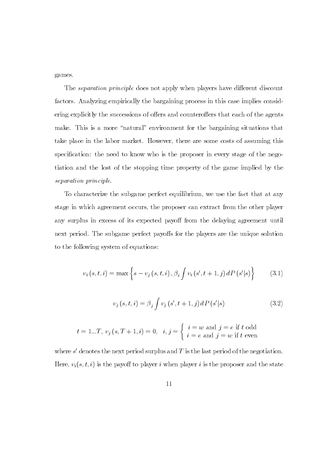games.

The *separation principle* does not apply when players have different discount factors. Analyzing empirically the bargaining process in this case implies considering explicitly the successions of offers and counteroffers that each of the agents make. This is a more "natural" environment for the bargaining situations that take place in the labor market. However, there are some costs of assuming this specification: the need to know who is the proposer in every stage of the negotiation and the lost of the stopping time property of the game implied by the separation principle.

To characterize the subgame perfect equilibrium, we use the fact that at any stage in which agreement occurs, the proposer can extract from the other player any surplus in excess of its expected payoff from the delaying agreement until next period. The subgame perfect payoffs for the players are the unique solution to the following system of equations:

$$
v_{i}(s,t,i) = \max \left\{ s - v_{j}(s,t,i), \beta_{i} \int v_{i}(s',t+1,j) dP(s'|s) \right\}
$$
(3.1)

$$
v_j(s, t, i) = \beta_j \int v_j(s', t+1, j) \, dP(s'|s) \tag{3.2}
$$

$$
t = 1...T
$$
,  $v_j(s, T + 1, i) = 0$ ,  $i, j = \begin{cases} i = w \text{ and } j = e \text{ if } t \text{ odd} \\ i = e \text{ and } j = w \text{ if } t \text{ even} \end{cases}$ 

where  $s'$  denotes the next period surplus and T is the last period of the negotiation. Here,  $v_i(s, t, i)$  is the payoff to player i when player i is the proposer and the state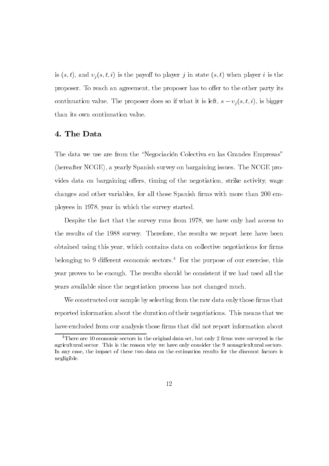is  $(s, t)$ , and  $v_j(s, t, i)$  is the payoff to player j in state  $(s, t)$  when player i is the proposer. To reach an agreement, the proposer has to offer to the other party its continuation value. The proposer does so if what it is left,  $s - v_j(s, t, i)$ , is bigger than its own continuation value.

### 4. The Data

The data we use are from the "Negociación Colectiva en las Grandes Empresas" (hereafter NCGE), a yearly Spanish survey on bargaining issues. The NCGE provides data on bargaining offers, timing of the negotiation, strike activity, wage changes and other variables, for all those Spanish firms with more than 200 employees in 1978, year in which the survey started.

Despite the fact that the survey runs from 1978, we have only had access to the results of the 1988 survey. Therefore, the results we report here have been obtained using this year, which contains data on collective negotiations for firms belonging to 9 different economic sectors.<sup>4</sup> For the purpose of our exercise, this year proves to be enough. The results should be consistent if we had used all the years available since the negotiation process has not changed much.

We constructed our sample by selecting from the raw data only those firms that reported information about the duration of their negotiations. This means that we have excluded from our analysis those firms that did not report information about

<sup>&</sup>lt;sup>4</sup>There are 10 economic sectors in the original data set, but only 2 firms were surveyed in the agricultural sector. This is the reason why we have only consider the 9 nonagricultural sectors. In any case, the impact of these two data on the estimation results for the discount factors is negligible.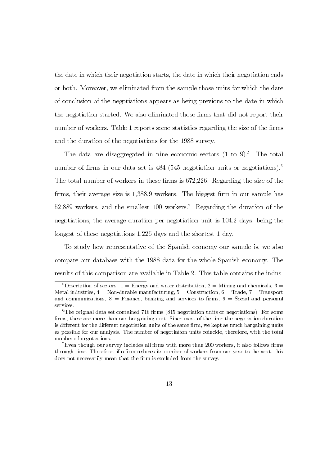the date in which their negotiation starts, the date in which their negotiation ends or both. Moreover, we eliminated from the sample those units for which the date of conclusion of the negotiations appears as being previous to the date in which the negotiation started. We also eliminated those firms that did not report their number of workers. Table 1 reports some statistics regarding the size of the firms and the duration of the negotiations for the 1988 survey.

The data are disaggregated in nine economic sectors  $(1 \text{ to } 9)^5$ . The total number of firms in our data set is  $484$  (545 negotiation units or negotiations).<sup>6</sup> The total number of workers in these firms is 672,226. Regarding the size of the firms, their average size is 1,388.9 workers. The biggest firm in our sample has 52,889 workers, and the smallest 100 workers.<sup>7</sup> Regarding the duration of the negotiations, the average duration per negotiation unit is 104.2 days, being the longest of these negotiations 1,226 days and the shortest 1 day.

To study how representative of the Spanish economy our sample is, we also compare our database with the 1988 data for the whole Spanish economy. The results of this comparison are available in Table 2. This table contains the indus-

<sup>&</sup>lt;sup>5</sup>Description of sectors: 1 = Energy and water distribution, 2 = Mining and chemicals, 3 = Metal industries,  $4 = \text{Non-durable manufacturing}, 5 = \text{Construction}, 6 = \text{Trade}, 7 = \text{Transport}$ and communications,  $8 =$  Finance, banking and services to firms,  $9 =$  Social and personal services.

 ${}^{6}$ The original data set contained 718 firms (815 negotiation units or negotiations). For some firms, there are more than one bargaining unit. Since most of the time the negotiation duration is different for the different negotiation units of the same firm, we kept as much bargaining units as possible for our analysis. The number of negotiation units coincide, therefore, with the total number of negotiations.

 $^{7}$ Even though our survey includes all firms with more than 200 workers, it also follows firms through time. Therefore, if a firm reduces its number of workers from one year to the next, this does not necessarily mean that the firm is excluded from the survey.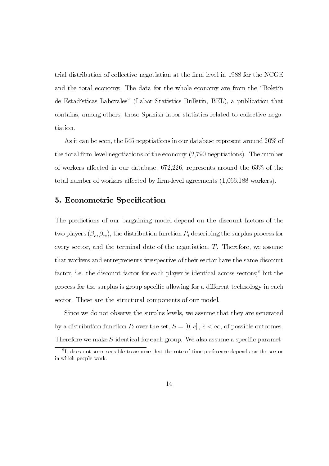trial distribution of collective negotiation at the firm level in 1988 for the NCGE and the total economy. The data for the whole economy are from the "Boletin" de Estadísticas Laborales" (Labor Statistics Bulletin, BEL), a publication that contains, among others, those Spanish labor statistics related to collective negotiation.

As it can be seen, the 545 negotiations in our database represent around  $20\%$  of the total firm-level negotiations of the economy  $(2,790$  negotiations). The number of workers affected in our database,  $672,226$ , represents around the  $63\%$  of the total number of workers affected by firm-level agreements  $(1,066,188)$  workers).

#### 5. Econometric Specification

The predictions of our bargaining model depend on the discount factors of the two players  $(\beta_e, \beta_w)$ , the distribution function  $P_i$  describing the surplus process for every sector, and the terminal date of the negotiation,  $T$ . Therefore, we assume that workers and entrepreneurs irrespective of their sector have the same discount factor, i.e. the discount factor for each player is identical across sectors;<sup>8</sup> but the process for the surplus is group specific allowing for a different technology in each sector. These are the structural components of our model.

Since we do not observe the surplus levels, we assume that they are generated by a distribution function  $P_i$  over the set,  $S = [0, c]$ ,  $\bar{c} < \infty$ , of possible outcomes. Therefore we make  $S$  identical for each group. We also assume a specific paramet-

<sup>&</sup>lt;sup>8</sup>It does not seem sensible to assume that the rate of time preference depends on the sector in which people work.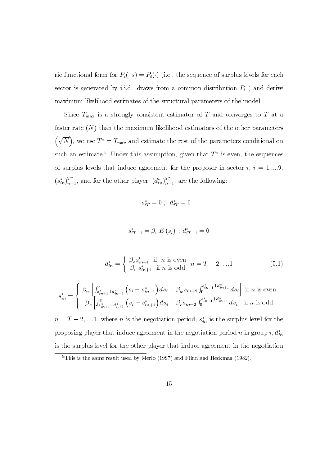ric functional form for  $P_i(\cdot|s) = P_i(\cdot)$  (i.e., the sequence of surplus levels for each sector is generated by i.i.d. draws from a common distribution  $P_i$  ) and derive maximum likelihood estimates of the structural parameters of the model.

Since  $T_{\text{max}}$  is a strongly consistent estimator of T and converges to T at a faster rate  $(N)$  than the maximum likelihood estimators of the other parameters  $(\sqrt{N})$ , we use  $T^* = T_{\text{max}}$  and estimate the rest of the parameters conditional on such an estimate.<sup>9</sup> Under this assumption, given that  $T^*$  is even, the sequences of surplus levels that induce agreement for the proposer in sector  $i, i = 1,....9$  $(s_{in}^*)_{n=1}^{T^*}$ , and for the other player,  $(d_{in}^*)_{n=1}^{T^*}$ , are the following:

$$
s_{iT}^* = 0 \; ; \; d_{iT}^* = 0
$$

$$
s_{iT-1}^* = \beta_w E(s_i) \; ; \; d_{iT-1}^* = 0
$$

$$
d_{in}^{*} = \begin{cases} \beta_e s_{in+1}^{*} & \text{if } n \text{ is even} \\ \beta_w s_{in+1}^{*} & \text{if } n \text{ is odd} \end{cases} \quad n = T - 2, ....1 \tag{5.1}
$$

$$
s_{in}^* = \begin{cases} \beta_w \left[ \int_{s_{in+1}^* + d_{in+1}^*}^{\bar{c}} \left( s_i - s_{in+1}^* \right) ds_i + \beta_w s_{in+2} \int_0^{s_{in+1}^* + d_{in+1}^*} ds_i \right] \text{ if } n \text{ is even} \\ \beta_e \left[ \int_{s_{in+1}^* + d_{n+1}^*}^{\bar{c}} \left( s_i - s_{in+1}^* \right) ds_i + \beta_e s_{in+2} \int_0^{s_{in+1}^* + d_{in+1}^*} ds_i \right] \text{ if } n \text{ is odd} \end{cases}
$$

 $n = T - 2, \dots, 1$ , where *n* is the negotiation period,  $s_{in}^*$  is the surplus level for the proposing player that induce agreement in the negotiation period n in group i,  $d_{in}^*$ is the surplus level for the other player that induce agreement in the negotiation

 $9$ This is the same result used by Merlo (1997) and Flinn and Heckman (1982).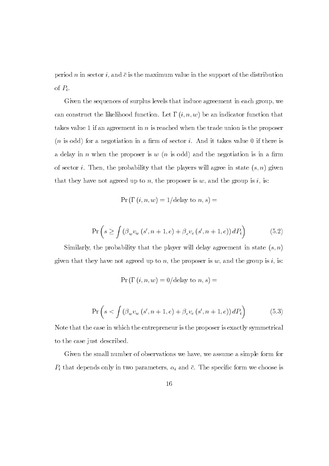period n in sector i, and  $\bar{c}$  is the maximum value in the support of the distribution of  $P_i$ .

Given the sequences of surplus levels that induce agreement in each group, we can construct the likelihood function. Let  $\Gamma(i, n, w)$  be an indicator function that takes value 1 if an agreement in n is reached when the trade union is the proposer  $(n \text{ is odd})$  for a negotiation in a firm of sector *i*. And it takes value 0 if there is a delay in *n* when the proposer is  $w(n)$  is odd) and the negotiation is in a firm of sector *i*. Then, the probability that the players will agree in state  $(s, n)$  given that they have not agreed up to n, the proposer is w, and the group is i, is:

$$
Pr(\Gamma(i, n, w) = 1/\text{delay to } n, s) =
$$

$$
\Pr\left(s \ge \int \left(\beta_w v_w\left(s', n+1, e\right) + \beta_e v_e\left(s', n+1, e\right)\right) dP_i\right) \tag{5.2}
$$

Similarly, the probability that the player will delay agreement in state  $(s, n)$ given that they have not agreed up to n, the proposer is  $w$ , and the group is i, is:

$$
\Pr\left(\Gamma\left(i,n,w\right)=0/\textrm{delay to }n,s\right)=
$$

$$
\Pr\left(s < \int \left(\beta_w v_w\left(s', n+1, e\right) + \beta_e v_e\left(s', n+1, e\right)\right) dP_i\right) \tag{5.3}
$$

Note that the case in which the entrepreneur is the proposer is exactly symmetrical to the case just described.

Given the small number of observations we have, we assume a simple form for  $P_i$  that depends only in two parameters,  $\alpha_i$  and  $\bar{c}$ . The specific form we choose is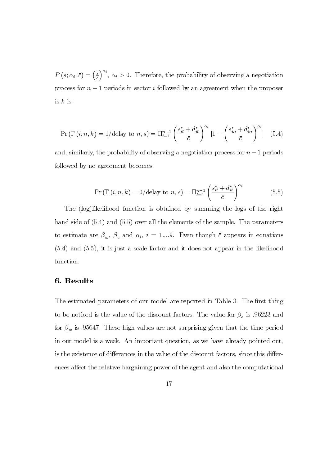$P(s; \alpha_i, \bar{c}) = \left(\frac{s}{\bar{c}}\right)^{\alpha_i}, \alpha_i > 0.$  Therefore, the probability of observing a negotiation process for  $n - 1$  periods in sector i followed by an agreement when the proposer is  $k$  is:

$$
\Pr\left(\Gamma\left(i,n,k\right)=1/\text{delay to }n,s\right)=\Pi_{t=1}^{n-1}\left(\frac{s_{it}^{*}+d_{it}^{*}}{\bar{c}}\right)^{\alpha_{i}}\left[1-\left(\frac{s_{in}^{*}+d_{in}^{*}}{\bar{c}}\right)^{\alpha_{i}}\right] (5.4)
$$

and, similarly, the probability of observing a negotiation process for  $n-1$  periods followed by no agreement becomes:

$$
\Pr\left(\Gamma\left(i,n,k\right)=0/\text{delay to }n,s\right)=\Pi_{t=1}^{n-1}\left(\frac{s_{it}^*+d_{it}^*}{\bar{c}}\right)^{\alpha_i}\tag{5.5}
$$

The  $(log)$ likelihood function is obtained by summing the logs of the right hand side of  $(5.4)$  and  $(5.5)$  over all the elements of the sample. The parameters to estimate are  $\beta_w$ ,  $\beta_e$  and  $\alpha_i$ ,  $i = 1...9$ . Even though  $\bar{c}$  appears in equations  $(5.4)$  and  $(5.5)$ , it is just a scale factor and it does not appear in the likelihood function.

#### 6. Results

The estimated parameters of our model are reported in Table 3. The first thing to be noticed is the value of the discount factors. The value for  $\beta_e$  is .96223 and for  $\beta_w$  is 0.95647. These high values are not surprising given that the time period in our model is a week. An important question, as we have already pointed out, is the existence of differences in the value of the discount factors, since this differences affect the relative bargaining power of the agent and also the computational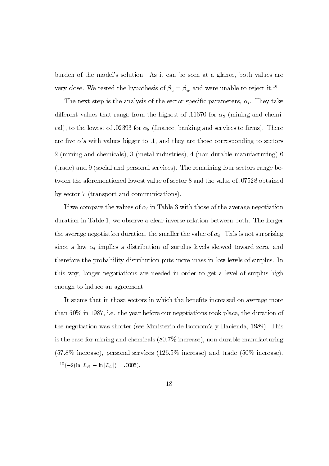burden of the model's solution. As it can be seen at a glance, both values are very close. We tested the hypothesis of  $\beta_e=\beta_w$  and were unable to reject it.  $^{10}$ 

The next step is the analysis of the sector specific parameters,  $\alpha_i$ . They take different values that range from the highest of .11670 for  $\alpha_2$  (mining and chemical), to the lowest of 0.02393 for  $\alpha_8$  (finance, banking and services to firms). There are five  $\alpha'$ s with values bigger to .1, and they are those corresponding to sectors 2 (mining and chemicals), 3 (metal industries), 4 (non-durable manufacturing) 6 (trade) and 9 (social and personal services). The remaining four sectors range between the aforementioned lowest value of sector 8 and the value of 0.07528 obtained by sector 7 (transport and communications).

If we compare the values of  $\alpha_i$  in Table 3 with those of the average negotiation duration in Table 1, we observe a clear inverse relation between both. The longer the average negotiation duration, the smaller the value of  $\alpha_i$ . This is not surprising since a low  $\alpha_i$  implies a distribution of surplus levels skewed toward zero, and therefore the probability distribution puts more mass in low levels of surplus. In this way, longer negotiations are needed in order to get a level of surplus high enough to induce an agreement.

It seems that in those sectors in which the benefits increased on average more than  $50\%$  in 1987, i.e. the year before our negotiations took place, the duration of the negotiation was shorter (see Ministerio de Economía y Hacienda, 1989). This is the case for mining and chemicals  $(80.7\%$  increase), non-durable manufacturing  $(57.8\%$  increase), personal services  $(126.5\%$  increase) and trade  $(50\%$  increase).

 $\frac{10}{2}(-2(\ln |L_R| - \ln |L_U|) = .0005).$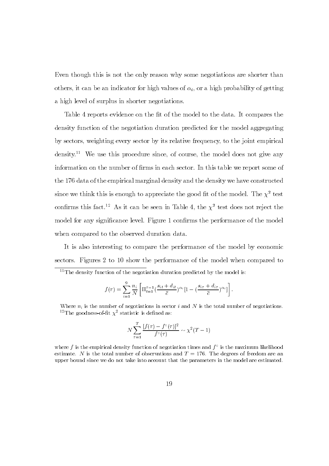Even though this is not the only reason why some negotiations are shorter than others, it can be an indicator for high values of  $\alpha_i$ , or a high probability of getting a high level of surplus in shorter negotiations.

Table 4 reports evidence on the fit of the model to the data. It compares the density function of the negotiation duration predicted for the model aggregating by sectors, weighting every sector by its relative frequency, to the joint empirical density.<sup>11</sup> We use this procedure since, of course, the model does not give any information on the number of firms in each sector. In this table we report some of the 176 data of the empirical marginal density and the density we have constructed since we think this is enough to appreciate the good fit of the model. The  $\chi^2$  test confirms this fact.<sup>12</sup> As it can be seen in Table 4, the  $\chi^2$  test does not reject the model for any significance level. Figure 1 confirms the performance of the model when compared to the observed duration data.

It is also interesting to compare the performance of the model by economic sectors. Figures 2 to 10 show the performance of the model when compared to

$$
f(\tau) = \sum_{i=1}^{9} \frac{n_i}{N} \left[ \Pi_{t=1}^{\tau-1} \left( \frac{s_{it} + d_{it}}{\bar{c}} \right)^{\alpha_i} [1 - \left( \frac{s_{i\tau} + d_{i\tau}}{\bar{c}} \right)^{\alpha_i}] \right].
$$

$$
N \sum_{\tau=1}^{T} \frac{[f(\tau) - f^{\circ}(\tau)]^2}{f^{\circ}(\tau)} \sim \chi^2(T-1)
$$

 $^{11}$ The density function of the negotiation duration predicted by the model is:

Where  $n_i$  is the number of negotiations in sector i and N is the total number of negotiations. <sup>12</sup>The goodness-of-fit  $\chi^2$  statistic is defined as:

where f is the empirical density function of negotiation times and  $f^{\circ}$  is the maximum likelihood estimate. N is the total number of observations and  $T = 176$ . The degrees of freedom are an upper bound since we do not take into account that the parameters in the model are estimated.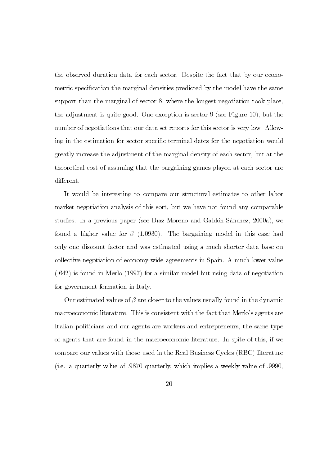the observed duration data for each sector. Despite the fact that by our econometric specification the marginal densities predicted by the model have the same support than the marginal of sector 8, where the longest negotiation took place, the adjustment is quite good. One exception is sector  $9$  (see Figure 10), but the number of negotiations that our data set reports for this sector is very low. Allowing in the estimation for sector specific terminal dates for the negotiation would greatly increase the adjustment of the marginal density of each sector, but at the theoretical cost of assuming that the bargaining games played at each sector are different.

It would be interesting to compare our structural estimates to other labor market negotiation analysis of this sort, but we have not found any comparable studies. In a previous paper (see Díaz-Moreno and Galdón-Sánchez, 2000a), we found a higher value for  $\beta$  (1.0930). The bargaining model in this case had only one discount factor and was estimated using a much shorter data base on collective negotiation of economy-wide agreements in Spain. A much lower value  $(.642)$  is found in Merlo (1997) for a similar model but using data of negotiation for government formation in Italy.

Our estimated values of  $\beta$  are closer to the values usually found in the dynamic macroeconomic literature. This is consistent with the fact that Merlo's agents are Italian politicians and our agents are workers and entrepreneurs, the same type of agents that are found in the macroeconomic literature. In spite of this, if we compare our values with those used in the Real Business Cycles (RBC) literature (i.e. a quarterly value of .9870 quarterly, which implies a weekly value of .9990.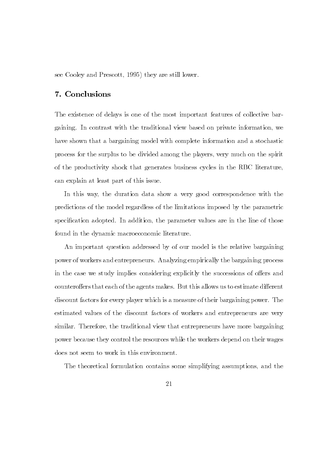see Cooley and Prescott, 1995) they are still lower.

# 7. Conclusions

The existence of delays is one of the most important features of collective bargaining. In contrast with the traditional view based on private information, we have shown that a bargaining model with complete information and a stochastic process for the surplus to be divided among the players, very much on the spirit of the productivity shock that generates business cycles in the RBC literature. can explain at least part of this issue.

In this way, the duration data show a very good correspondence with the predictions of the model regardless of the limitations imposed by the parametric specification adopted. In addition, the parameter values are in the line of those found in the dynamic macroeconomic literature.

An important question addressed by of our model is the relative bargaining power of workers and entrepreneurs. Analyzing empirically the bargaining process in the case we study implies considering explicitly the successions of offers and counteroffers that each of the agents makes. But this allows us to estimate different discount factors for every player which is a measure of their bargaining power. The estimated values of the discount factors of workers and entrepreneurs are very similar. Therefore, the traditional view that entrepreneurs have more bargaining power because they control the resources while the workers depend on their wages does not seem to work in this environment.

The theoretical formulation contains some simplifying assumptions, and the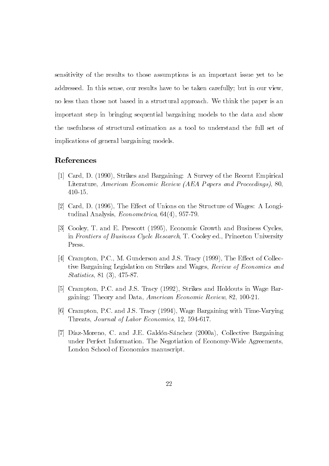sensitivity of the results to those assumptions is an important issue yet to be addressed. In this sense, our results have to be taken carefully; but in our view, no less than those not based in a structural approach. We think the paper is an important step in bringing sequential bargaining models to the data and show the usefulness of structural estimation as a tool to understand the full set of implications of general bargaining models.

### References

- [1] Card, D. (1990), Strikes and Bargaining: A Survey of the Recent Empirical Literature, American Economic Review (AEA Papers and Proceedings), 80. 410-15.
- $[2]$  Card, D. (1996), The Effect of Unions on the Structure of Wages: A Longitudinal Analysis,  $Econometrica, 64(4), 957-79.$
- [3] Cooley, T. and E. Prescott (1995). Economic Growth and Business Cycles. in Frontiers of Business Cycle Research, T. Cooley ed., Princeton University Press.
- [4] Crampton, P.C., M. Gunderson and J.S. Tracy (1999), The Effect of Collective Bargaining Legislation on Strikes and Wages, Review of Economics and  $Statistics, 81 (3), 475-87.$
- [5] Crampton, P.C. and J.S. Tracy (1992), Strikes and Holdouts in Wage Bargaining: Theory and Data, American Economic Review, 82, 100-21.
- [6] Crampton, P.C. and J.S. Tracy (1994), Wage Bargaining with Time-Varying Threats, Journal of Labor Economics, 12, 594-617.
- [7] Díaz-Moreno, C. and J.E. Galdón-Sánchez (2000a), Collective Bargaining under Perfect Information. The Negotiation of Economy-Wide Agreements. London School of Economics manuscript.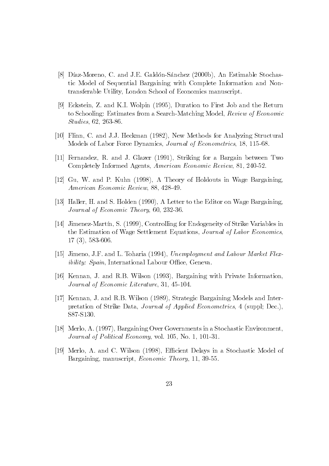- [8] Díaz-Moreno, C. and J.E. Galdón-Sánchez (2000b), An Estimable Stochastic Model of Sequential Bargaining with Complete Information and Nontransferable Utility, London School of Economics manuscript.
- $[9]$  Eckstein, Z. and K.I. Wolpin (1995), Duration to First Job and the Return to Schooling: Estimates from a Search-Matching Model, Review of Economic  $Studies, 62, 263-86.$
- [10] Flinn, C. and J.J. Heckman (1982), New Methods for Analyzing Structural Models of Labor Force Dynamics, Journal of Econometrics, 18, 115-68.
- [11] Fernandez, R. and J. Glazer (1991), Striking for a Bargain between Two Completely Informed Agents, American Economic Review, 81, 240-52.
- $[12]$  Gu, W. and P. Kuhn  $(1998)$ , A Theory of Holdouts in Wage Bargaining. American Economic Review, 88, 428-49.
- [13] Haller, H. and S. Holden  $(1990)$ , A Letter to the Editor on Wage Bargaining. Journal of Economic Theory, 60, 232-36.
- [14] Jimenez-Martín, S.  $(1999)$ , Controlling for Endogeneity of Strike Variables in the Estimation of Wage Settlement Equations, Journal of Labor Economics.  $17(3), 583-606$
- [15] Jimeno, J.F. and L. Toharia (1994), *Unemployment and Labour Market Flexibility: Spain*, International Labour Office, Geneva.
- [16] Kennan, J. and R.B. Wilson (1993), Bargaining with Private Information. Journal of Economic Literature, 31, 45-104.
- [17] Kennan, J. and R.B. Wilson (1989), Strategic Bargaining Models and Interpretation of Strike Data, *Journal of Applied Econometrics*, 4 (suppl; Dec.), S87-S130.
- [18] Merlo, A. (1997), Bargaining Over Governments in a Stochastic Environment. Journal of Political Economy, vol. 105, No. 1, 101-31.
- [19] Merlo, A. and C. Wilson  $(1998)$ , Efficient Delays in a Stochastic Model of Bargaining, manuscript, *Economic Theory*, 11, 39-55.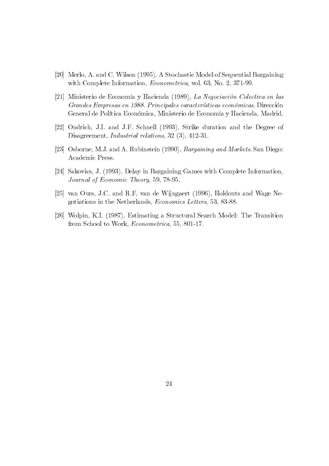- [20] Merlo, A. and C. Wilson (1995), A Stochastic Model of Sequential Bargaining with Complete Information, *Econometrica*, vol. 63, No. 2, 371-99.
- [21] Ministerio de Economía y Hacienda (1989), La Negociación Colectiva en las Grandes Empresas en 1988. Principales características económicas, Dirección General de Política Económica, Ministerio de Economía y Hacienda, Madrid.
- [22] Ondrich, J.I. and J.F. Schnell (1993), Strike duration and the Degree of Disagreement, Industrial relations, 32  $(3)$ , 412-31.
- [23] Osborne, M.J. and A. Rubinstein (1990), *Bargaining and Markets*. San Diego: Academic Press.
- [24] Sakovics, J. (1993), Delay in Bargaining Games with Complete Information. Journal of Economic Theory, 59, 78-95.
- $[25]$  van Ours, J.C. and R.F. van de Wijngaert (1996), Holdouts and Wage Negotiations in the Netherlands, *Economics Letters*, 53, 83-88.
- [26] Wolpin, K.I. (1987), Estimating a Structural Search Model: The Transition from School to Work, *Econometrica*, 55, 801-17.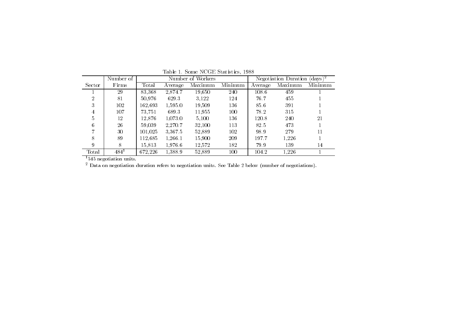|        | Number of | Number of Workers |         |         | Negotiation Duration $(days)^2$ |         |         |         |
|--------|-----------|-------------------|---------|---------|---------------------------------|---------|---------|---------|
| Sector | Firms     | Total             | Average | Maximum | Minimum                         | Average | Maximum | Minimum |
|        | 29        | 83,368            | 2.874.7 | 19,650  | 240                             | 108.6   | 459     |         |
| 2      | 81        | 50.976            | 629.3   | 3.122   | 124                             | 76.7    | 455     |         |
| 3      | 102       | 162.693           | 1.595.0 | 19.509  | 136                             | 85.6    | 391     |         |
|        | 107       | 73.751            | 689.3   | 11.955  | 100                             | 78.2    | 315     |         |
| 5      | 12        | 12.876            | 1,073.0 | 5.100   | 136                             | 120.8   | 240     | 21      |
| 6      | 26        | 59.039            | 2,270.7 | 32,100  | 113                             | 82.5    | 473     |         |
|        | 30        | 101.025           | 3.367.5 | 52.889  | 102                             | 98.9    | 279     | 11      |
| 8      | 89        | 112.685           | 1,266.1 | 15,900  | 209                             | 197.7   | 1.226   |         |
| 9      | 8         | 15.813            | 1.976.6 | 12.572  | 182                             | 79.9    | 139     | 14      |
| Total  | $484^1$   | 672.226           | 1.388.9 | 52.889  | 100                             | 104.2   | 1,226   |         |

Table 1. Some NCGE Statistics, 1988

negotiation units.

Data on negotiation duration refers to negotiation units. See Table 2 below (number of negotiations).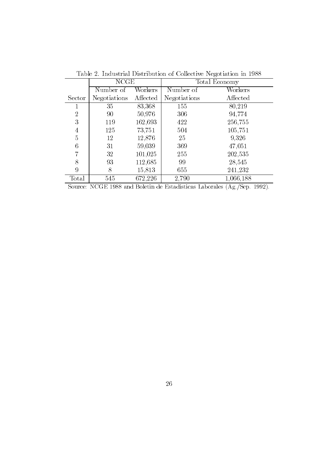|                | <b>NCGE</b>  |          | Total Economy |           |  |
|----------------|--------------|----------|---------------|-----------|--|
|                | Number of    | Workers  | Number of     | Workers   |  |
| Sector         | Negotiations | Affected | Negotiations  | Affected  |  |
| 1              | 35           | 83,368   | 155           | 80,219    |  |
| $\overline{2}$ | 90           | 50,976   | 306           | 94,774    |  |
| 3              | 119          | 162,693  | 422           | 256,755   |  |
| $\overline{4}$ | 125          | 73,751   | 504           | 105,751   |  |
| $\overline{5}$ | 12           | 12,876   | 25            | 9.326     |  |
| 6              | 31           | 59,039   | 369           | 47,051    |  |
| 7              | 32           | 101,025  | 255           | 202,535   |  |
| 8              | 93           | 112,685  | 99            | 28,545    |  |
| 9              | 8            | 15,813   | 655           | 241,232   |  |
| Total          | 545          | 672,226  | 2,790         | 1,066,188 |  |

Table 2. Industrial Distribution of Collective Negotiation in 1988

Source: NCGE 1988 and Boletin de Estadísticas Laborales  $(Ag./Sep. 1992)$ .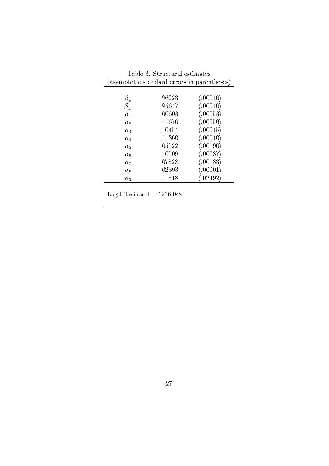| Table 3. Structural estimates               |        |           |  |  |  |
|---------------------------------------------|--------|-----------|--|--|--|
| (asymptotic standard errors in parentheses) |        |           |  |  |  |
|                                             |        |           |  |  |  |
| $\beta_e$                                   | .96223 | (.00010)  |  |  |  |
| $\beta_w$                                   | .95647 | (.00010)  |  |  |  |
| $\alpha_1$                                  | .06603 | (.00053)  |  |  |  |
| $\alpha_2$                                  | .11670 | (.00056)  |  |  |  |
| $\alpha_3$                                  | .10454 | (.00045)  |  |  |  |
| $\alpha_4$                                  | .11366 | (.00046)  |  |  |  |
| $\alpha_{5}$                                | .05522 | (.00190)  |  |  |  |
| $\alpha_6$                                  | .10509 | (.00087)  |  |  |  |
| $\alpha_7$                                  | .07528 | (.00133)  |  |  |  |
| $\alpha_{8}$                                | .02393 | (.00001)  |  |  |  |
| $\alpha$ <sup>o</sup>                       | .11518 | (0.02492) |  |  |  |

Log-Likelihood  $-1956.049$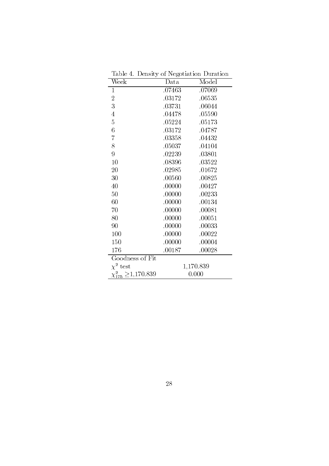| Week                          | Data      | Model  |  |
|-------------------------------|-----------|--------|--|
| $\mathbf{1}$                  | .07463    | .07069 |  |
| $\overline{2}$                | .03172    | .06535 |  |
| 3                             | .03731    | .06044 |  |
| $\overline{4}$                | .04478    | .05590 |  |
| $\overline{5}$                | .05224    | .05173 |  |
| 6                             | .03172    | .04787 |  |
| $\overline{7}$                | .03358    | .04432 |  |
| 8                             | .05037    | .04104 |  |
| 9                             | .02239    | .03801 |  |
| 10                            | .08396    | .03522 |  |
| 20                            | .02985    | .01672 |  |
| 30                            | .00560    | .00825 |  |
| 40                            | .00000    | .00427 |  |
| 50                            | .00000    | .00233 |  |
| 60                            | .00000    | .00134 |  |
| 70                            | .00000    | .00081 |  |
| 80                            | .00000    | .00051 |  |
| 90                            | .00000    | .00033 |  |
| 100                           | .00000    | .00022 |  |
| 150                           | .00000    | .00004 |  |
| 176                           | .00187    | .00028 |  |
| Goodness of Fit               |           |        |  |
| $\chi^2$ test                 | 1,170.839 |        |  |
| $\chi_{175}^2 \geq 1,170.839$ | 0.000     |        |  |

Table 4. Density of Negotiation Duration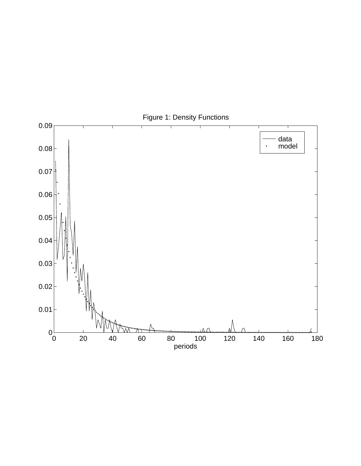

Figure 1: Density Functions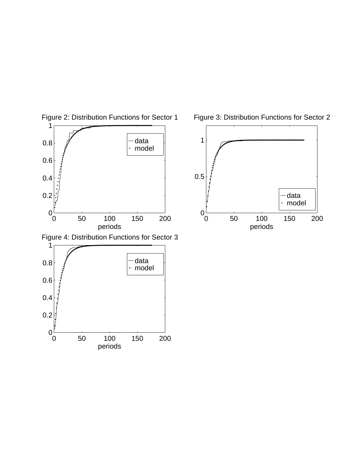

Figure 2: Distribution Functions for Sector 1

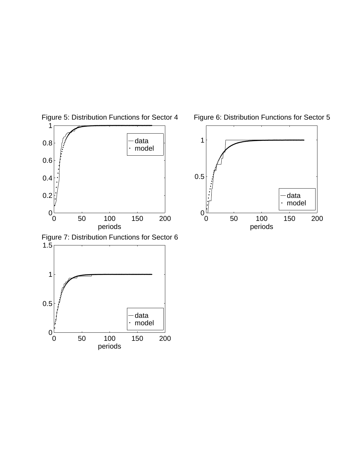